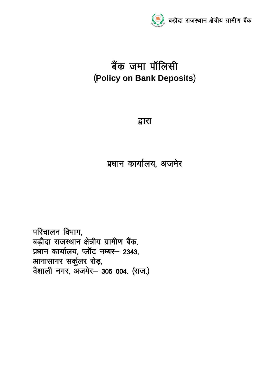

# बैंक जमा पॉलिसी ¼**Policy on Bank Deposits**½

द्वारा

प्रधान कार्यालय, अजमेर

परिचालन विभाग, बड़ौदा राजस्थान क्षेत्रीय ग्रामीण बैंक, प्रधान कार्यालय, प्लॉट नम्बर- 2343, आनासागर सर्कुलर रोड़, वैशाली नगर, अजमेर— 305 004. (राज.)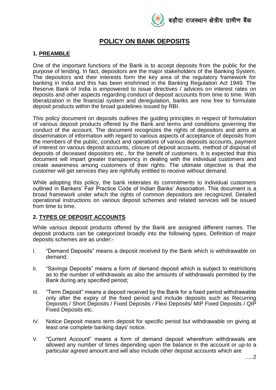

# **POLICY ON BANK DEPOSITS**

## **1. PREAMBLE**

One of the important functions of the Bank is to accept deposits from the public for the purpose of lending. In fact, depositors are the major stakeholders of the Banking System. The depositors and their interests form the key area of the regulatory framework for banking in India and this has been enshrined in the Banking Regulation Act 1949. The Reserve Bank of India is empowered to issue directives / advices on interest rates on deposits and other aspects regarding conduct of deposit accounts from time to time. With liberalization in the financial system and deregulation, banks are now free to formulate deposit products within the broad guidelines issued by RBI.

This policy document on deposits outlines the guiding principles in respect of formulation of various deposit products offered by the Bank and terms and conditions governing the conduct of the account. The document recognizes the rights of depositors and aims at dissemination of information with regard to various aspects of acceptance of deposits from the members of the public, conduct and operations of various deposits accounts, payment of interest on various deposit accounts, closure of deposit accounts, method of disposal of deposits of deceased depositors etc., for the benefit of customers. It is expected that this document will impart greater transparency in dealing with the individual customers and create awareness among customers of their rights. The ultimate objective is that the customer will get services they are rightfully entitled to receive without demand.

While adopting this policy, the bank reiterates its commitments to individual customers outlined in Bankers' Fair Practice Code of Indian Banks' Association. This document is a broad framework under which the rights of common depositors are recognized. Detailed operational instructions on various deposit schemes and related services will be issued from time to time.

## **2. TYPES OF DEPOSIT ACCOUNTS**

While various deposit products offered by the Bank are assigned different names. The deposit products can be categorized broadly into the following types. Definition of major deposits schemes are as under:-

- I. "Demand Deposits" means a deposit received by the Bank which is withdrawable on demand;
- II. "Savings Deposits" means a form of demand deposit which is subject to restrictions as to the number of withdrawals as also the amounts of withdrawals permitted by the Bank during any specified period;
- III. "Term Deposit" means a deposit received by the Bank for a fixed period withdrawable only after the expiry of the fixed period and include deposits such as Recurring Deposits / Short Deposits / Fixed Deposits */* Flexi Deposits/ MIP Fixed Deposits / QIP Fixed Deposits etc.
- IV. Notice Deposit means term deposit for specific period but withdrawable on giving at least one complete banking days' notice.
- V. "Current Account" means a form of demand deposit wherefrom withdrawals are allowed any number of times depending upon the balance in the account or up-to a particular agreed amount and will also include other deposit accounts which are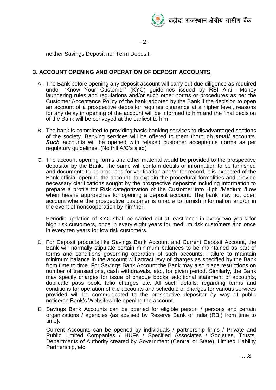

 $-2 -$ 

neither Savings Deposit nor Term Deposit.

## **3. ACCOUNT OPENING AND OPERATION OF DEPOSIT ACCOUNTS**

- A. The Bank before opening any deposit account will carry out due diligence as required under "Know Your Customer" (KYC) guidelines issued by RBI Anti –Money laundering rules and regulations and/or such other norms or procedures as per the Customer Acceptance Policy of the bank adopted by the Bank if the decision to open an account of a prospective depositor requires clearance at a higher level, reasons for any delay in opening of the account will be informed to him and the final decision of the Bank will be conveyed at the earliest to him.
- B. The bank is committed to providing basic banking services to disadvantaged sections of the society. Banking services will be offered to them thorough *small a*ccounts. **Such** accounts will be opened with relaxed customer acceptance norms as per regulatory guidelines. (No frill A/C's also)
- C. The account opening forms and other material would be provided to the prospective depositor by the Bank. The same will contain details of information to be furnished and documents to be produced for verification and/or for record, it is expected of the Bank official opening the account, to explain the procedural formalities and provide necessary clarifications sought by the prospective depositor including information to prepare a profile for Risk categorization of the Customer into High /Medium /Low when he/she approaches for opening a deposit account. The bank may not open account where the prospective customer is unable to furnish information and/or in the event of noncooperation by him/her.

Periodic updation of KYC shall be carried out at least once in every two years for high risk customers, once in every eight years for medium risk customers and once in every ten years for low risk customers.

- D. For Deposit products like Savings Bank Account and Current Deposit Account, the Bank will normally stipulate certain minimum balances to be maintained as part of terms and conditions governing operation of such accounts. Failure to maintain minimum balance in the account will attract levy of charges as specified by the Bank from time to time. For Savings Bank Account the Bank may also place restrictions on number of transactions, cash withdrawals, etc., for given period. Similarly, the Bank may specify charges for issue of cheque books, additional statement of accounts, duplicate pass book, folio charges etc. All such details, regarding terms and conditions for operation of the accounts and schedule of charges for various services provided will be communicated to the prospective depositor *by* way of public notice/on Bank's Websitewhile opening the account.
- E. Savings Bank Accounts can be opened for eligible person / persons and certain organizations / agencies **{**as advised by Reserve Bank of India (RBI) from time to time**}**.

Current Accounts can be opened by individuals / partnership firms / Private and Public Limited Companies / HUFs / Specified Associates / Societies, Trusts, Departments of Authority created by Government (Central or State), Limited Liability Partnership, etc.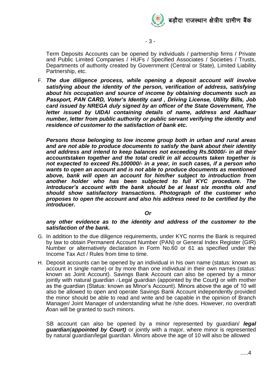

Term Deposits Accounts can be opened by individuals / partnership firms / Private and Public Limited Companies / HUFs / Specified Associates / Societies / Trusts, Departments of authority created by Government (Central or State), Limited Liability Partnership, etc.

F. *The due diligence process, while opening a deposit account will involve satisfying about the identity of the person, verification of address, satisfying about his occupation and source of income by obtaining documents such as Passport, PAN CARD, Voter's Identity card , Driving License, Utility Bills, Job card issued by NREGA duly signed by an officer of the State Government, The letter issued by UIDAI containing details of name, address and Aadhaar number, letter from public authority or public servant verifying the identity and residence of customer to the satisfaction of bank etc.*

*Persons those belonging to low income group both in urban and rural areas and are not able to produce documents to satisfy the bank about their identity and address and intend to keep balances not exceeding Rs.50000/- in all their accountstaken together and the total credit in all accounts taken together is not expected to exceed Rs.100000/- in a year, in such cases, if a person who wants to open an account and is not able to produce documents as mentioned above, bank will open an account for him/her subject to introduction from another holder who has been subjected to full KYC procedure. The introducer's account with the bank should be at least six months old and should show satisfactory transactions. Photograph of the customer who proposes to open the account and also his address need to be certified by the introducer.*

*Or*

#### *any other evidence as to the identity and address of the customer to the satisfaction of the bank.*

- G. In addition to the due diligence requirements, under KYC norms the Bank is required by law to obtain Permanent Account Number (PAN) or General Index Register (GIR) Number or alternatively declaration in Form No.60 or 61 as specified under the Income Tax Act / Rules from time to time.
- H. Deposit accounts can be opened by an individual in his own name (status: known as account in single name) or by more than one individual in their own names (status: known as Joint Account). Savings Bank Account can also be opened by a minor jointly with natural guardian */* Legal guardian (appointed by the Court*)* or with mother as the guardian (Status: known as Minor's Account). Minors above the age of 10 will also be allowed to open and operate Savings Bank Account independently provided the minor should be able to read and write and be capable in the opinion of Branch Manager/ Joint Manager of understanding what he /she does. However, no overdraft */*loan will be granted to such minors.

SB account can also be opened by a minor represented by guardian/ *legal guardian(appointed by Court)* or jointly with a major, where minor is represented by natural guardian/legal guardian. Minors above the age of 10 will also be allowed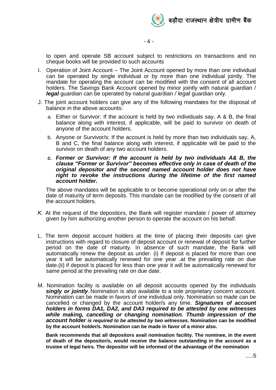

to open and operate SB account subject to restrictions on transactions and no cheque books will be provided to such accounts

- I. Operation of Joint Account The Joint Account opened by more than one individual can be operated by single individual or by more than one individual jointly. The mandate for operating the account can be modified with the consent of all account holders. The Savings Bank Account opened by minor jointly with natural guardian / *legal* guardian can be operated by natural guardian */ legal* guardian only.
- J. The joint account holders can give any of the following mandates for the disposal of balance in the above accounts:
	- a. Either or Survivor: If the account is held by two individuals say, A & B, the final balance along with interest, if applicable, will be paid to survivor on death of anyone of the account holders.
	- b. Anyone or Survivor/s: If the account is held by more than two individuals say, A, B and C, the final balance along with interest, if applicable will be paid to the survivor on death of any two account holders.
	- *c. Former or Survivor: If the account is held by two individuals A& B, the clause "Former or Survivor" becomes effective only in case of death of the original depositor and the second named account holder does not have right to revoke the instructions during the lifetime of the first named account holder.*

The above mandates will be applicable to or become operational only on or after the date of maturity of term deposits. This mandate can be modified by the consent of all the account holders.

- *K.* At the request of the depositors, the Bank will register mandate / power of attorney given by him authorizing another person to operate the account on his behalf.
- L. The term deposit account holders at the time of placing their deposits can give instructions with regard to closure of deposit account or renewal of deposit for further period on the date of maturity. In absence of such mandate, the Bank will automatically renew the deposit as under. (i) If deposit is placed for more than one year it will be automatically renewed for one year .at the prevailing rate on due date.(ii) if deposit is placed for less than one year it will be automatically renewed for same period at the prevailing rate on due date.
- M. Nomination facility is available on all deposit accounts opened by the individuals *singly or jointly***.** Nomination is also available to a sole proprietary concern account. Nomination can be made in favors of one individual only. Nomination so made can be cancelled or changed by the account holder/s any time. *Signatures of account holders in forms DA1, DA2, and DA3 required to be attested by one witnesses*  while making, cancelling or changing nomination. Thumb impression of the *account holder is required to be attested by two witnesses.* **Nomination can be modified by the account holder/s. Nomination can be made in favor of a minor also.**

**Bank recommends that all depositors avail nomination facility. The nominee, in the event of death of the depositor/s, would receive the balance outstanding in the account as a trustee of legal heirs. The depositor will be informed of the advantage of the nomination**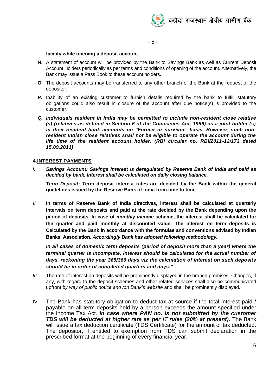

- 5 -

#### **facility while opening a deposit account.**

- **N.** A statement of account will be provided by the Bank to Savings Bank as well as Current Deposit Account Holders periodically as per terms and conditions of opening of the account. Alternatively, the Bank may issue a Pass Book to these account holders.
- **O.** The deposit accounts may be transferred to any other branch of the Bank at the request of the depositor.
- **P.** Inability of an existing customer to furnish details required by the bank to fulfill statutory obligations could also result in closure of the account after due notice(s) is provided to the customer.
- *Q. Individuals resident in India may be permitted to include non-resident close relative (s) (relatives as defined in Section 6 of the Companies Act, 1956) as a joint holder (s) in their resident bank accounts on "Former or survivor" basis. However, such nonresident Indian close relatives shall not be eligible to operate the account during the life time of the resident account holder. (RBI circular no. RBI/2011-12/173 dated 15.09.2011)*

#### **4.INTEREST PAYMENTS**

*I. Savings Account: Savings Interest is deregulated by Reserve Bank of India and paid as decided by bank. Interest shall be calculated on daily closing balance.*

*Term Deposit: T***erm deposit interest rates are decided by the Bank within the general guidelines issued by the Reserve Bank of India from time to time.**

*II.* **In terms of Reserve Bank of India directives, interest shall be calculated at quarterly intervals on term deposits and paid at the rate decided by the Bank depending upon the period of deposits. In case of** *monthly income* **scheme, the interest shall be calculated for the quarter and paid monthly at discounted value. The interest on term deposits is Calculated by the Bank in accordance with the formulae and conventions advised by Indian Banks' Association.** *Accordingly Bank has adopted following methodology.*

*In all cases of domestic term deposits (period of deposit more than a year) where the terminal quarter is incomplete, interest should be calculated for the actual number of days, reckoning the year 365/366 days viz the calculation of interest on such deposits should be in order of completed quarters and days."*

- *III.* The rate of interest on deposits will be prominently displayed in the branch premises. Changes, if any, with regard to the deposit schemes and other related services shall also be communicated upfront *by way of public notice and /on Bank's website* and shall be prominently displayed.
- IV. The Bank has statutory obligation to deduct tax at source if the total interest paid / payable on all term deposits held by a person exceeds the amount specified under the Income Tax Act. *In case where PAN no. is not submitted by the customer TDS will be deducted at higher rate as per IT rules (20% at present).* The Bank will issue a tax deduction certificate (TDS Certificate) for the amount of tax deducted. The depositor, if entitled to exemption from TDS can submit declaration in the prescribed format at the beginning of every financial year.

.....6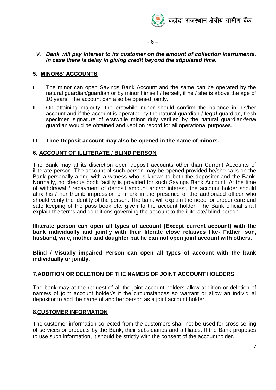

 $-6 -$ 

#### *V. Bank will pay interest to its customer on the amount of collection instruments, in case there is delay in giving credit beyond the stipulated time.*

### **5. MINORS' ACCOUNTS**

- I. The minor can open Savings Bank Account and the same can be operated by the natural guardian/guardian or by minor himself / herself, if he / she is above the age of 10 years. The account can also be opened jointly.
- II. On attaining majority, the erstwhile minor should confirm the balance in his/her account and if the account is operated by the natural guardian / *legal* guardian, fresh specimen signature of erstwhile minor duly verified by the natural guardian*/legal*  guardian would be obtained and kept on record for all operational purposes.

#### **III. Time Deposit account may also be opened in the name of minors.**

### **6. ACCOUNT OF ILLITERATE** / **BLIND PERSON**

The Bank may at its discretion open deposit accounts other than Current Accounts of illiterate person. The account of such person may be opened provided he/she calls on the Bank personally along with a witness who is known to both the depositor and the Bank. Normally, no cheque book facility is provided for such Savings Bank Account. At the time of withdrawal / repayment of deposit amount and/or interest, the account holder should affix his / her thumb impression or mark in the presence of the authorized officer who should verify the identity of the person. The bank will explain the need for proper care and safe keeping of the pass book etc. given to the account holder. The Bank official shall explain the terms and conditions governing the account to the illiterate/ blind person.

**Illiterate person can open all types of account (Except current account) with the bank individually and jointly with their literate close relatives like- Father, son, husband, wife, mother and daughter but he can not open joint account with others.**

**Blind** / **Visually impaired Person can open all types of account with the bank individually or jointly.** 

## **7.ADDITION OR DELETION OF THE NAME/S OF JOINT ACCOUNT HOLDERS**

The bank may at the request of all the joint account holders allow addition or deletion of name/s of joint account holder/s if the circumstances so warrant or allow an individual depositor to add the name of another person as a joint account holder.

#### **8.CUSTOMER INFORMATION**

The customer information collected from the customers shall not be used for cross selling of services or products by the Bank, their subsidiaries and affiliates. If the Bank proposes to use such information, it should be strictly with the consent of the accountholder.

.....7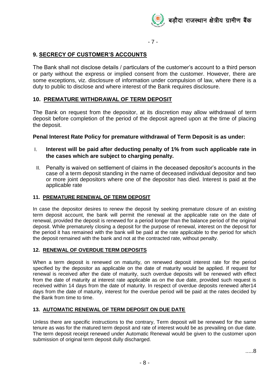

- 7 -

# **9. SECRECY OF CUSTOMER'S ACCOUNTS**

The Bank shall not disclose details / particulars of the customer's account to a third person or party without the express or implied consent from the customer. However, there are some exceptions, viz. disclosure of information under compulsion of law, where there is a duty to public to disclose and where interest of the Bank requires disclosure.

# **10. PREMATURE WITHDRAWAL OF TERM DEPOSIT**

The Bank on request from the depositor, at its discretion may allow withdrawal of term deposit before completion of the period of the deposit agreed upon at the time of placing the deposit.

### **Penal Interest Rate Policy for premature withdrawal of Term Deposit is as under:**

- I. **Interest will be paid after deducting penalty of 1% from such applicable rate in the cases which are subject to charging penalty.**
- II. Penalty is waived on settlement of claims in the deceased depositor's accounts in the case of a term deposit standing in the name of deceased individual depositor and two or more joint depositors where one of the depositor has died. Interest is paid at the applicable rate

#### **11. PREMATURE RENEWAL OF TERM DEPOSIT**

In case the depositor desires to renew the deposit by seeking premature closure of an existing term deposit account, the bank will permit the renewal at the applicable rate on the date of renewal, provided the deposit is renewed for a period longer than the balance period of the original deposit. While prematurely closing a deposit for the purpose of renewal, interest on the deposit for the period it has remained with the bank will be paid at the rate applicable to the period for which the deposit remained with the bank and not at the contracted rate, without penalty.

#### **12. RENEWAL OF OVERDUE TERM DEPOSITS**

When a term deposit is renewed on maturity, on renewed deposit interest rate for the period specified by the depositor as applicable on the date of maturity would be applied. If request for renewal is received after the date of maturity, such overdue deposits will be renewed with effect from the date of maturity at interest rate applicable as on the due date, provided such request is received within 14 days from the date of maturity. In respect of overdue deposits renewed after14 days from the date of maturity, interest for the overdue period will be paid at the rates decided by the Bank from time to time.

#### **13. AUTOMATIC RENEWAL OF TERM DEPOSIT ON DUE DATE**

Unless there are specific instructions to the contrary, Term deposit will be renewed for the same tenure as was for the matured term deposit and rate of interest would be as prevailing on due date. The term deposit receipt renewed under Automatic Renewal would be given to the customer upon submission of original term deposit dully discharged.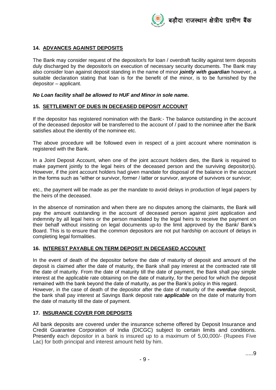

### **14. ADVANCES AGAINST DEPOSITS**

The Bank may consider request of the depositor/s for loan / overdraft facility against term deposits duly discharged by the depositor/s on execution of necessary security documents. The Bank may also consider loan against deposit standing in the name of minor *jointly with guardian* however, a suitable declaration stating that loan is for the benefit of the minor, is to be furnished by the depositor – applicant.

#### *No Loan facility shall be allowed to HUF and Minor in sole name.*

#### **15. SETTLEMENT OF DUES IN DECEASED DEPOSIT ACCOUNT**

If the depositor has registered nomination with the Bank:- The balance outstanding in the account of the deceased depositor will be transferred to the account of / paid to the nominee after the Bank satisfies about the identity of the nominee etc.

The above procedure will be followed even in respect of a joint account where nomination is registered with the Bank.

In a Joint Deposit Account, when one of the joint account holders dies, the Bank is required to make payment jointly to the legal heirs of the deceased person and the surviving depositor(s). However, if the joint account holders had given mandate for disposal of the balance in the account in the forms such as "either or survivor, former / latter or survivor, anyone of survivors or survivor;

etc., the payment will be made as per the mandate to avoid delays in production of legal papers by the heirs of the deceased.

In the absence of nomination and when there are no disputes among the claimants, the Bank will pay the amount outstanding in the account of deceased person against joint application and indemnity by all legal heirs or the person mandated by the legal heirs to receive the payment on their behalf without insisting on legal documents up-to the limit approved by the Bank/ Bank's Board. This is to ensure that the common depositors are not put hardship on account of delays in completing legal formalities.

#### **16. INTEREST PAYABLE ON TERM DEPOSIT IN DECEASED ACCOUNT**

In the event of death of the depositor before the date of maturity of deposit and amount of the deposit is claimed after the date of maturity, the Bank shall pay interest at the contracted rate till the date of maturity. From the date of maturity till the date of payment, the Bank shall pay simple interest at the applicable rate obtaining on the date of maturity, for the period for which the deposit remained with the bank beyond the date of maturity, as per the Bank's policy in this regard. However, in the case of death of the depositor after the date of maturity of the *overdue* deposit, the bank shall pay interest at Savings Bank deposit rate *applicable* on the date of maturity from

the date of maturity till the date of payment.

#### **17. INSURANCE COVER FOR DEPOSITS**

All bank deposits are covered under the insurance scheme offered by Deposit Insurance and Credit Guarantee Corporation of India (DICGC) subject to certain limits and conditions. Presently each depositor in a bank is insured up to a maximum of 5,00,000/- (Rupees Five Lac) for both principal and interest amount held by him.